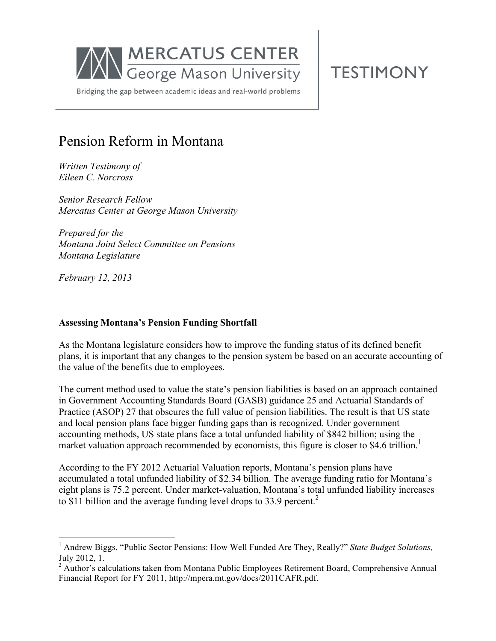

**TESTIMONY** 

Bridging the gap between academic ideas and real-world problems

# Pension Reform in Montana

*Written Testimony of Eileen C. Norcross*

*Senior Research Fellow Mercatus Center at George Mason University*

*Prepared for the Montana Joint Select Committee on Pensions Montana Legislature*

*February 12, 2013*

## **Assessing Montana's Pension Funding Shortfall**

As the Montana legislature considers how to improve the funding status of its defined benefit plans, it is important that any changes to the pension system be based on an accurate accounting of the value of the benefits due to employees.

The current method used to value the state's pension liabilities is based on an approach contained in Government Accounting Standards Board (GASB) guidance 25 and Actuarial Standards of Practice (ASOP) 27 that obscures the full value of pension liabilities. The result is that US state and local pension plans face bigger funding gaps than is recognized. Under government accounting methods, US state plans face a total unfunded liability of \$842 billion; using the market valuation approach recommended by economists, this figure is closer to \$4.6 trillion.<sup>1</sup>

According to the FY 2012 Actuarial Valuation reports, Montana's pension plans have accumulated a total unfunded liability of \$2.34 billion. The average funding ratio for Montana's eight plans is 75.2 percent. Under market-valuation, Montana's total unfunded liability increases to \$11 billion and the average funding level drops to 33.9 percent.<sup>2</sup>

<sup>&</sup>lt;sup>1</sup> Andrew Biggs, "Public Sector Pensions: How Well Funded Are They, Really?" *State Budget Solutions,* July 2012, 1.

<sup>&</sup>lt;sup>2</sup> Author's calculations taken from Montana Public Employees Retirement Board, Comprehensive Annual Financial Report for FY 2011, http://mpera.mt.gov/docs/2011CAFR.pdf.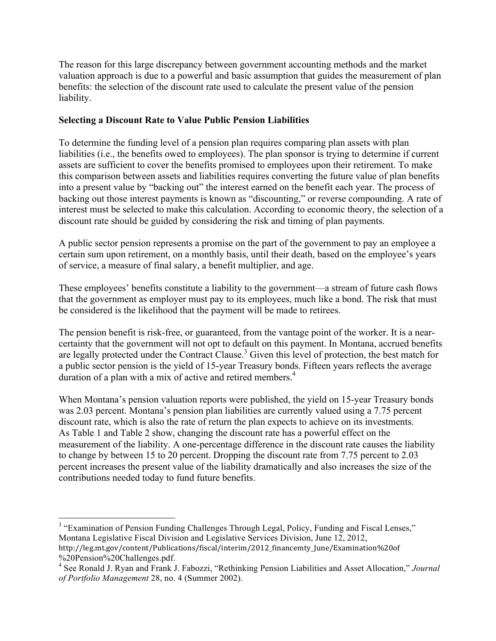The reason for this large discrepancy between government accounting methods and the market valuation approach is due to a powerful and basic assumption that guides the measurement of plan benefits: the selection of the discount rate used to calculate the present value of the pension liability.

#### **Selecting a Discount Rate to Value Public Pension Liabilities**

To determine the funding level of a pension plan requires comparing plan assets with plan liabilities (i.e., the benefits owed to employees). The plan sponsor is trying to determine if current assets are sufficient to cover the benefits promised to employees upon their retirement. To make this comparison between assets and liabilities requires converting the future value of plan benefits into a present value by "backing out" the interest earned on the benefit each year. The process of backing out those interest payments is known as "discounting," or reverse compounding. A rate of interest must be selected to make this calculation. According to economic theory, the selection of a discount rate should be guided by considering the risk and timing of plan payments.

A public sector pension represents a promise on the part of the government to pay an employee a certain sum upon retirement, on a monthly basis, until their death, based on the employee's years of service, a measure of final salary, a benefit multiplier, and age.

These employees' benefits constitute a liability to the government—a stream of future cash flows that the government as employer must pay to its employees, much like a bond. The risk that must be considered is the likelihood that the payment will be made to retirees.

The pension benefit is risk-free, or guaranteed, from the vantage point of the worker. It is a nearcertainty that the government will not opt to default on this payment. In Montana, accrued benefits are legally protected under the Contract Clause.<sup>3</sup> Given this level of protection, the best match for a public sector pension is the yield of 15-year Treasury bonds. Fifteen years reflects the average duration of a plan with a mix of active and retired members.<sup>4</sup>

When Montana's pension valuation reports were published, the yield on 15-year Treasury bonds was 2.03 percent. Montana's pension plan liabilities are currently valued using a 7.75 percent discount rate, which is also the rate of return the plan expects to achieve on its investments. As Table 1 and Table 2 show, changing the discount rate has a powerful effect on the measurement of the liability. A one-percentage difference in the discount rate causes the liability to change by between 15 to 20 percent. Dropping the discount rate from 7.75 percent to 2.03 percent increases the present value of the liability dramatically and also increases the size of the contributions needed today to fund future benefits.

<sup>3</sup> "Examination of Pension Funding Challenges Through Legal, Policy, Funding and Fiscal Lenses," Montana Legislative Fiscal Division and Legislative Services Division, June 12, 2012, http://leg.mt.gov/content/Publications/fiscal/interim/2012\_financemty\_June/Examination%20of

!!!!!!!!!!!!!!!!!!!!!!!!!!!!!!!!!!!!!!!!!!!!!!!!!!!!!!!

<sup>%20</sup>Pension%20Challenges.pdf. <sup>4</sup> See Ronald J. Ryan and Frank J. Fabozzi, "Rethinking Pension Liabilities and Asset Allocation," *Journal of Portfolio Management* 28, no. 4 (Summer 2002).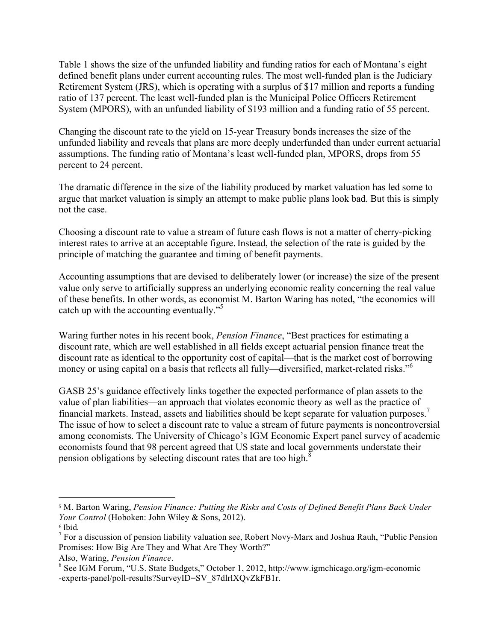Table 1 shows the size of the unfunded liability and funding ratios for each of Montana's eight defined benefit plans under current accounting rules. The most well-funded plan is the Judiciary Retirement System (JRS), which is operating with a surplus of \$17 million and reports a funding ratio of 137 percent. The least well-funded plan is the Municipal Police Officers Retirement System (MPORS), with an unfunded liability of \$193 million and a funding ratio of 55 percent.

Changing the discount rate to the yield on 15-year Treasury bonds increases the size of the unfunded liability and reveals that plans are more deeply underfunded than under current actuarial assumptions. The funding ratio of Montana's least well-funded plan, MPORS, drops from 55 percent to 24 percent.

The dramatic difference in the size of the liability produced by market valuation has led some to argue that market valuation is simply an attempt to make public plans look bad. But this is simply not the case.

Choosing a discount rate to value a stream of future cash flows is not a matter of cherry-picking interest rates to arrive at an acceptable figure. Instead, the selection of the rate is guided by the principle of matching the guarantee and timing of benefit payments.

Accounting assumptions that are devised to deliberately lower (or increase) the size of the present value only serve to artificially suppress an underlying economic reality concerning the real value of these benefits. In other words, as economist M. Barton Waring has noted, "the economics will catch up with the accounting eventually.<sup>"5</sup>

Waring further notes in his recent book, *Pension Finance*, "Best practices for estimating a discount rate, which are well established in all fields except actuarial pension finance treat the discount rate as identical to the opportunity cost of capital—that is the market cost of borrowing money or using capital on a basis that reflects all fully—diversified, market-related risks."<sup>6</sup>

GASB 25's guidance effectively links together the expected performance of plan assets to the value of plan liabilities—an approach that violates economic theory as well as the practice of financial markets. Instead, assets and liabilities should be kept separate for valuation purposes.<sup>7</sup> The issue of how to select a discount rate to value a stream of future payments is noncontroversial among economists. The University of Chicago's IGM Economic Expert panel survey of academic economists found that 98 percent agreed that US state and local governments understate their pension obligations by selecting discount rates that are too high.<sup>8</sup>

<sup>!!!!!!!!!!!!!!!!!!!!!!!!!!!!!!!!!!!!!!!!!!!!!!!!!!!!!!!</sup> <sup>5</sup> M. Barton Waring, *Pension Finance: Putting the Risks and Costs of Defined Benefit Plans Back Under Your Control* (Hoboken: John Wiley & Sons, 2012).

<sup>6</sup> Ibid.

 $<sup>7</sup>$  For a discussion of pension liability valuation see, Robert Novy-Marx and Joshua Rauh, "Public Pension"</sup> Promises: How Big Are They and What Are They Worth?"

Also, Waring, *Pension Finance*.<br><sup>8</sup> See IGM Forum, "U.S. State Budgets," October 1, 2012, http://www.igmchicago.org/igm-economic -experts-panel/poll-results?SurveyID=SV\_87dlrlXQvZkFB1r.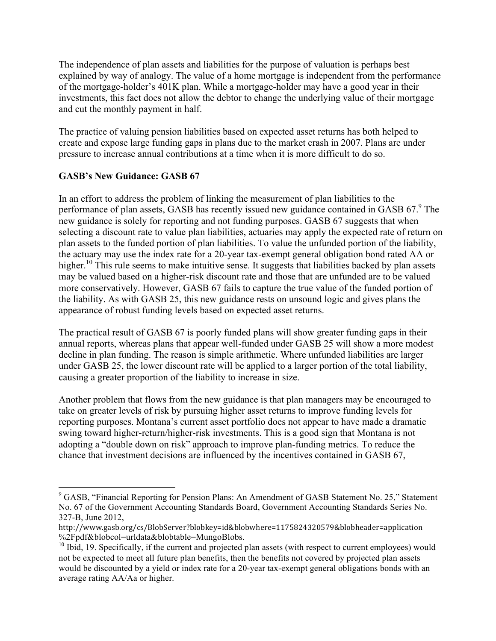The independence of plan assets and liabilities for the purpose of valuation is perhaps best explained by way of analogy. The value of a home mortgage is independent from the performance of the mortgage-holder's 401K plan. While a mortgage-holder may have a good year in their investments, this fact does not allow the debtor to change the underlying value of their mortgage and cut the monthly payment in half.

The practice of valuing pension liabilities based on expected asset returns has both helped to create and expose large funding gaps in plans due to the market crash in 2007. Plans are under pressure to increase annual contributions at a time when it is more difficult to do so.

## **GASB's New Guidance: GASB 67**

!!!!!!!!!!!!!!!!!!!!!!!!!!!!!!!!!!!!!!!!!!!!!!!!!!!!!!!

In an effort to address the problem of linking the measurement of plan liabilities to the performance of plan assets, GASB has recently issued new guidance contained in GASB 67.<sup>9</sup> The new guidance is solely for reporting and not funding purposes. GASB 67 suggests that when selecting a discount rate to value plan liabilities, actuaries may apply the expected rate of return on plan assets to the funded portion of plan liabilities. To value the unfunded portion of the liability, the actuary may use the index rate for a 20-year tax-exempt general obligation bond rated AA or higher.<sup>10</sup> This rule seems to make intuitive sense. It suggests that liabilities backed by plan assets may be valued based on a higher-risk discount rate and those that are unfunded are to be valued more conservatively. However, GASB 67 fails to capture the true value of the funded portion of the liability. As with GASB 25, this new guidance rests on unsound logic and gives plans the appearance of robust funding levels based on expected asset returns.

The practical result of GASB 67 is poorly funded plans will show greater funding gaps in their annual reports, whereas plans that appear well-funded under GASB 25 will show a more modest decline in plan funding. The reason is simple arithmetic. Where unfunded liabilities are larger under GASB 25, the lower discount rate will be applied to a larger portion of the total liability, causing a greater proportion of the liability to increase in size.

Another problem that flows from the new guidance is that plan managers may be encouraged to take on greater levels of risk by pursuing higher asset returns to improve funding levels for reporting purposes. Montana's current asset portfolio does not appear to have made a dramatic swing toward higher-return/higher-risk investments. This is a good sign that Montana is not adopting a "double down on risk" approach to improve plan-funding metrics. To reduce the chance that investment decisions are influenced by the incentives contained in GASB 67,

<sup>&</sup>lt;sup>9</sup> GASB, "Financial Reporting for Pension Plans: An Amendment of GASB Statement No. 25," Statement No. 67 of the Government Accounting Standards Board, Government Accounting Standards Series No. 327-B, June 2012,

http://www.gasb.org/cs/BlobServer?blobkey=id&blobwhere=1175824320579&blobheader=application %2Fpdf&blobcol=urldata&blobtable=MungoBlobs.

<sup>&</sup>lt;sup>10</sup> Ibid, 19. Specifically, if the current and projected plan assets (with respect to current employees) would not be expected to meet all future plan benefits, then the benefits not covered by projected plan assets would be discounted by a yield or index rate for a 20-year tax-exempt general obligations bonds with an average rating AA/Aa or higher.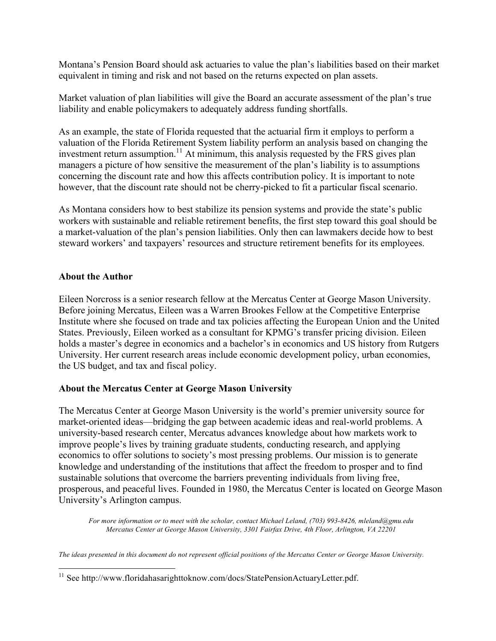Montana's Pension Board should ask actuaries to value the plan's liabilities based on their market equivalent in timing and risk and not based on the returns expected on plan assets.

Market valuation of plan liabilities will give the Board an accurate assessment of the plan's true liability and enable policymakers to adequately address funding shortfalls.

As an example, the state of Florida requested that the actuarial firm it employs to perform a valuation of the Florida Retirement System liability perform an analysis based on changing the investment return assumption.<sup>11</sup> At minimum, this analysis requested by the FRS gives plan managers a picture of how sensitive the measurement of the plan's liability is to assumptions concerning the discount rate and how this affects contribution policy. It is important to note however, that the discount rate should not be cherry-picked to fit a particular fiscal scenario.

As Montana considers how to best stabilize its pension systems and provide the state's public workers with sustainable and reliable retirement benefits, the first step toward this goal should be a market-valuation of the plan's pension liabilities. Only then can lawmakers decide how to best steward workers' and taxpayers' resources and structure retirement benefits for its employees.

#### **About the Author**

Eileen Norcross is a senior research fellow at the Mercatus Center at George Mason University. Before joining Mercatus, Eileen was a Warren Brookes Fellow at the Competitive Enterprise Institute where she focused on trade and tax policies affecting the European Union and the United States. Previously, Eileen worked as a consultant for KPMG's transfer pricing division. Eileen holds a master's degree in economics and a bachelor's in economics and US history from Rutgers University. Her current research areas include economic development policy, urban economies, the US budget, and tax and fiscal policy.

#### **About the Mercatus Center at George Mason University**

The Mercatus Center at George Mason University is the world's premier university source for market-oriented ideas—bridging the gap between academic ideas and real-world problems. A university-based research center, Mercatus advances knowledge about how markets work to improve people's lives by training graduate students, conducting research, and applying economics to offer solutions to society's most pressing problems. Our mission is to generate knowledge and understanding of the institutions that affect the freedom to prosper and to find sustainable solutions that overcome the barriers preventing individuals from living free, prosperous, and peaceful lives. Founded in 1980, the Mercatus Center is located on George Mason University's Arlington campus.

*For more information or to meet with the scholar, contact Michael Leland, (703) 993-8426, mleland@gmu.edu Mercatus Center at George Mason University, 3301 Fairfax Drive, 4th Floor, Arlington, VA 22201* 

*The ideas presented in this document do not represent official positions of the Mercatus Center or George Mason University.*

 $11$  See http://www.floridahasarighttoknow.com/docs/StatePensionActuaryLetter.pdf.